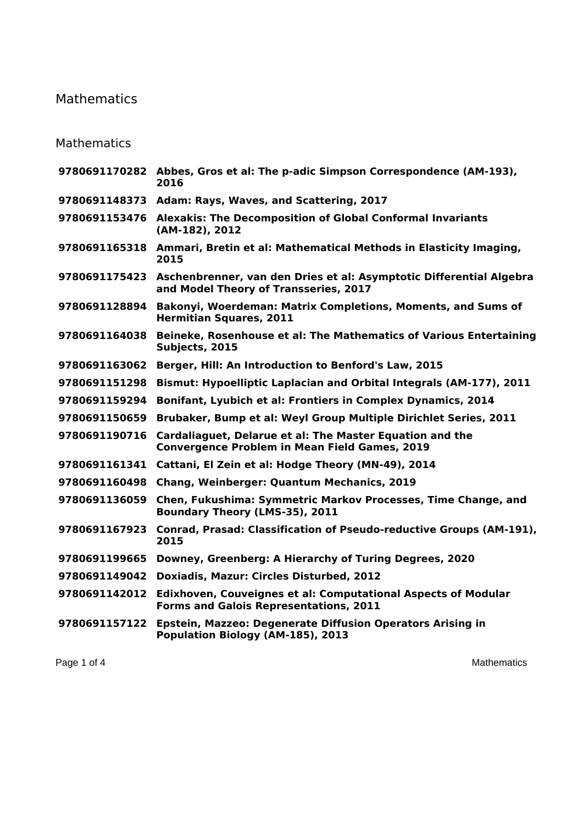## Mathematics

## Mathematics

| 9780691170282 Abbes, Gros et al: The p-adic Simpson Correspondence (AM-193),<br>2016                                  |
|-----------------------------------------------------------------------------------------------------------------------|
| 9780691148373 Adam: Rays, Waves, and Scattering, 2017                                                                 |
| 9780691153476 Alexakis: The Decomposition of Global Conformal Invariants<br>(AM-182), 2012                            |
| 9780691165318 Ammari, Bretin et al: Mathematical Methods in Elasticity Imaging,<br>2015                               |
| Aschenbrenner, van den Dries et al: Asymptotic Differential Algebra<br>and Model Theory of Transseries, 2017          |
| Bakonyi, Woerdeman: Matrix Completions, Moments, and Sums of<br><b>Hermitian Squares, 2011</b>                        |
| Beineke, Rosenhouse et al: The Mathematics of Various Entertaining<br>9780691164038<br>Subjects, 2015                 |
| Berger, Hill: An Introduction to Benford's Law, 2015<br>9780691163062                                                 |
| <b>Bismut: Hypoelliptic Laplacian and Orbital Integrals (AM-177), 2011</b>                                            |
| Bonifant, Lyubich et al: Frontiers in Complex Dynamics, 2014                                                          |
| Brubaker, Bump et al: Weyl Group Multiple Dirichlet Series, 2011                                                      |
| Cardaliaguet, Delarue et al: The Master Equation and the<br><b>Convergence Problem in Mean Field Games, 2019</b>      |
| Cattani, El Zein et al: Hodge Theory (MN-49), 2014                                                                    |
| <b>Chang, Weinberger: Quantum Mechanics, 2019</b>                                                                     |
| Chen, Fukushima: Symmetric Markov Processes, Time Change, and<br>Boundary Theory (LMS-35), 2011                       |
| Conrad, Prasad: Classification of Pseudo-reductive Groups (AM-191),<br>2015                                           |
| Downey, Greenberg: A Hierarchy of Turing Degrees, 2020                                                                |
| Doxiadis, Mazur: Circles Disturbed, 2012                                                                              |
| <b>Edixhoven, Couveignes et al: Computational Aspects of Modular</b><br><b>Forms and Galois Representations, 2011</b> |
| <b>Epstein, Mazzeo: Degenerate Diffusion Operators Arising in</b><br>Population Biology (AM-185), 2013                |
|                                                                                                                       |

Page 1 of 4 Mathematics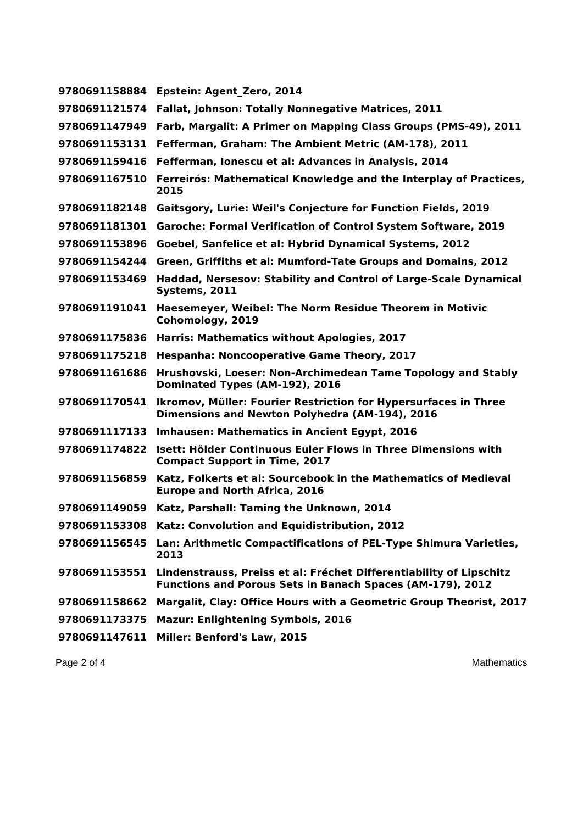| 9780691158884 | Epstein: Agent Zero, 2014                                                                                                        |
|---------------|----------------------------------------------------------------------------------------------------------------------------------|
| 9780691121574 | <b>Fallat, Johnson: Totally Nonnegative Matrices, 2011</b>                                                                       |
| 9780691147949 | Farb, Margalit: A Primer on Mapping Class Groups (PMS-49), 2011                                                                  |
| 9780691153131 | Fefferman, Graham: The Ambient Metric (AM-178), 2011                                                                             |
| 9780691159416 | Fefferman, Ionescu et al: Advances in Analysis, 2014                                                                             |
| 9780691167510 | Ferreirós: Mathematical Knowledge and the Interplay of Practices,<br>2015                                                        |
|               | 9780691182148 Gaitsgory, Lurie: Weil's Conjecture for Function Fields, 2019                                                      |
| 9780691181301 | <b>Garoche: Formal Verification of Control System Software, 2019</b>                                                             |
| 9780691153896 | Goebel, Sanfelice et al: Hybrid Dynamical Systems, 2012                                                                          |
| 9780691154244 | Green, Griffiths et al: Mumford-Tate Groups and Domains, 2012                                                                    |
| 9780691153469 | <b>Haddad, Nersesov: Stability and Control of Large-Scale Dynamical</b><br>Systems, 2011                                         |
| 9780691191041 | Haesemeyer, Weibel: The Norm Residue Theorem in Motivic<br>Cohomology, 2019                                                      |
| 9780691175836 | <b>Harris: Mathematics without Apologies, 2017</b>                                                                               |
| 9780691175218 | <b>Hespanha: Noncooperative Game Theory, 2017</b>                                                                                |
| 9780691161686 | Hrushovski, Loeser: Non-Archimedean Tame Topology and Stably<br>Dominated Types (AM-192), 2016                                   |
| 9780691170541 | <b>Ikromov, Müller: Fourier Restriction for Hypersurfaces in Three</b><br>Dimensions and Newton Polyhedra (AM-194), 2016         |
| 9780691117133 | <b>Imhausen: Mathematics in Ancient Egypt, 2016</b>                                                                              |
| 9780691174822 | Isett: Hölder Continuous Euler Flows in Three Dimensions with<br><b>Compact Support in Time, 2017</b>                            |
| 9780691156859 | Katz, Folkerts et al: Sourcebook in the Mathematics of Medieval<br><b>Europe and North Africa, 2016</b>                          |
| 9780691149059 | Katz, Parshall: Taming the Unknown, 2014                                                                                         |
|               | 9780691153308 Katz: Convolution and Equidistribution, 2012                                                                       |
| 9780691156545 | Lan: Arithmetic Compactifications of PEL-Type Shimura Varieties,<br>2013                                                         |
| 9780691153551 | Lindenstrauss, Preiss et al: Fréchet Differentiability of Lipschitz<br>Functions and Porous Sets in Banach Spaces (AM-179), 2012 |
| 9780691158662 | Margalit, Clay: Office Hours with a Geometric Group Theorist, 2017                                                               |
| 9780691173375 | <b>Mazur: Enlightening Symbols, 2016</b>                                                                                         |
| 9780691147611 | Miller: Benford's Law, 2015                                                                                                      |

Page 2 of 4 Mathematics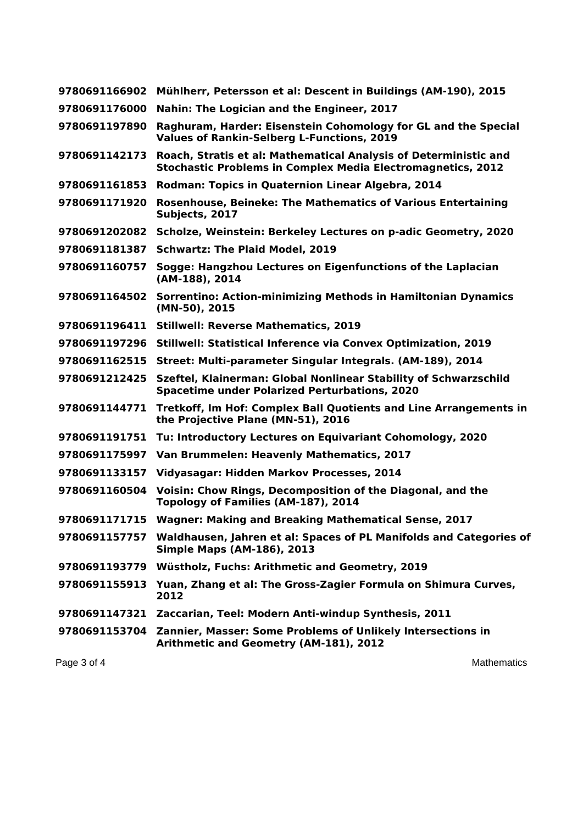| 9780691166902 | Mühlherr, Petersson et al: Descent in Buildings (AM-190), 2015                                                                         |
|---------------|----------------------------------------------------------------------------------------------------------------------------------------|
| 9780691176000 | Nahin: The Logician and the Engineer, 2017                                                                                             |
| 9780691197890 | Raghuram, Harder: Eisenstein Cohomology for GL and the Special<br><b>Values of Rankin-Selberg L-Functions, 2019</b>                    |
| 9780691142173 | Roach, Stratis et al: Mathematical Analysis of Deterministic and<br><b>Stochastic Problems in Complex Media Electromagnetics, 2012</b> |
| 9780691161853 | Rodman: Topics in Quaternion Linear Algebra, 2014                                                                                      |
| 9780691171920 | <b>Rosenhouse, Beineke: The Mathematics of Various Entertaining</b><br>Subjects, 2017                                                  |
| 9780691202082 | Scholze, Weinstein: Berkeley Lectures on p-adic Geometry, 2020                                                                         |
| 9780691181387 | <b>Schwartz: The Plaid Model, 2019</b>                                                                                                 |
| 9780691160757 | Sogge: Hangzhou Lectures on Eigenfunctions of the Laplacian<br>(AM-188), 2014                                                          |
| 9780691164502 | Sorrentino: Action-minimizing Methods in Hamiltonian Dynamics<br>(MN-50), 2015                                                         |
|               | 9780691196411 Stillwell: Reverse Mathematics, 2019                                                                                     |
| 9780691197296 | Stillwell: Statistical Inference via Convex Optimization, 2019                                                                         |
| 9780691162515 | Street: Multi-parameter Singular Integrals. (AM-189), 2014                                                                             |
| 9780691212425 | Szeftel, Klainerman: Global Nonlinear Stability of Schwarzschild<br><b>Spacetime under Polarized Perturbations, 2020</b>               |
| 9780691144771 | <b>Tretkoff, Im Hof: Complex Ball Quotients and Line Arrangements in</b><br>the Projective Plane (MN-51), 2016                         |
| 9780691191751 | Tu: Introductory Lectures on Equivariant Cohomology, 2020                                                                              |
| 9780691175997 | Van Brummelen: Heavenly Mathematics, 2017                                                                                              |
| 9780691133157 | Vidyasagar: Hidden Markov Processes, 2014                                                                                              |
| 9780691160504 | Voisin: Chow Rings, Decomposition of the Diagonal, and the<br>Topology of Families (AM-187), 2014                                      |
|               | 9780691171715 Wagner: Making and Breaking Mathematical Sense, 2017                                                                     |
|               | 9780691157757 Waldhausen, Jahren et al: Spaces of PL Manifolds and Categories of<br><b>Simple Maps (AM-186), 2013</b>                  |
|               | 9780691193779 Wüstholz, Fuchs: Arithmetic and Geometry, 2019                                                                           |
| 9780691155913 | Yuan, Zhang et al: The Gross-Zagier Formula on Shimura Curves,<br>2012                                                                 |
|               | 9780691147321 Zaccarian, Teel: Modern Anti-windup Synthesis, 2011                                                                      |
|               | 9780691153704 Zannier, Masser: Some Problems of Unlikely Intersections in<br>Arithmetic and Geometry (AM-181), 2012                    |
| Page 3 of 4   | <b>Mathematics</b>                                                                                                                     |